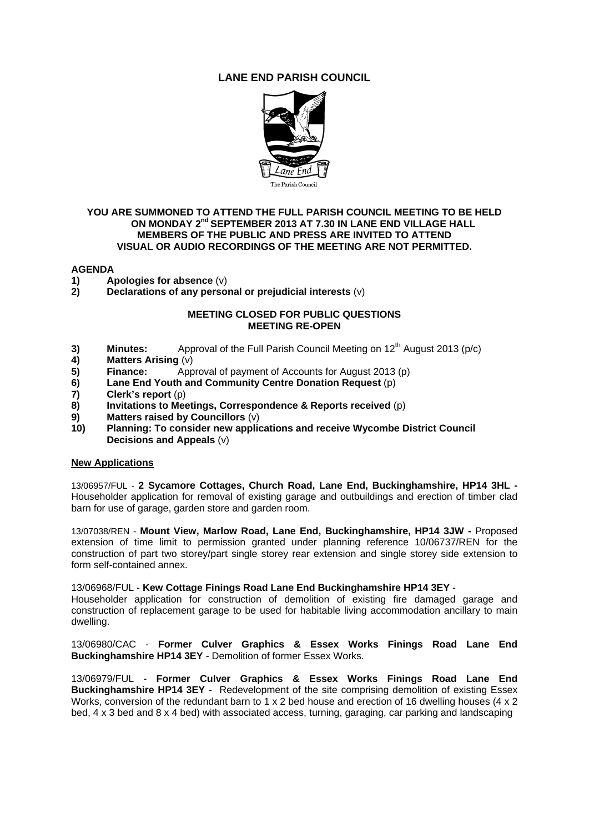# **LANE END PARISH COUNCIL**



### **YOU ARE SUMMONED TO ATTEND THE FULL PARISH COUNCIL MEETING TO BE HELD ON MONDAY 2nd SEPTEMBER 2013 AT 7.30 IN LANE END VILLAGE HALL MEMBERS OF THE PUBLIC AND PRESS ARE INVITED TO ATTEND VISUAL OR AUDIO RECORDINGS OF THE MEETING ARE NOT PERMITTED.**

### **AGENDA**

- **1)** Apologies for absence (v)<br>**2)** Declarations of any perso
- **2) Declarations of any personal or prejudicial interests** (v)

#### **MEETING CLOSED FOR PUBLIC QUESTIONS MEETING RE-OPEN**

- **3) Minutes:** Approval of the Full Parish Council Meeting on  $12^{th}$  August 2013 (p/c) **4)** Matters Arising (v)
- **4) Matters Arising** (v)
- **5) Finance:** Approval of payment of Accounts for August 2013 (p)
- **6) Lane End Youth and Community Centre Donation Request** (p)
- **7) Clerk's report** (p)
- **8) Invitations to Meetings, Correspondence & Reports received** (p)
- **9) Matters raised by Councillors** (v)
- **10) Planning: To consider new applications and receive Wycombe District Council Decisions and Appeals** (v)

#### **New Applications**

13/06957/FUL - **2 Sycamore Cottages, Church Road, Lane End, Buckinghamshire, HP14 3HL -**  Householder application for removal of existing garage and outbuildings and erection of timber clad barn for use of garage, garden store and garden room.

13/07038/REN - **Mount View, Marlow Road, Lane End, Buckinghamshire, HP14 3JW -** Proposed extension of time limit to permission granted under planning reference 10/06737/REN for the construction of part two storey/part single storey rear extension and single storey side extension to form self-contained annex.

13/06968/FUL - **Kew Cottage Finings Road Lane End Buckinghamshire HP14 3EY** -

Householder application for construction of demolition of existing fire damaged garage and construction of replacement garage to be used for habitable living accommodation ancillary to main dwelling.

13/06980/CAC - **Former Culver Graphics & Essex Works Finings Road Lane End Buckinghamshire HP14 3EY** - Demolition of former Essex Works.

13/06979/FUL - **Former Culver Graphics & Essex Works Finings Road Lane End Buckinghamshire HP14 3EY** - Redevelopment of the site comprising demolition of existing Essex Works, conversion of the redundant barn to 1 x 2 bed house and erection of 16 dwelling houses (4 x 2 bed, 4 x 3 bed and 8 x 4 bed) with associated access, turning, garaging, car parking and landscaping